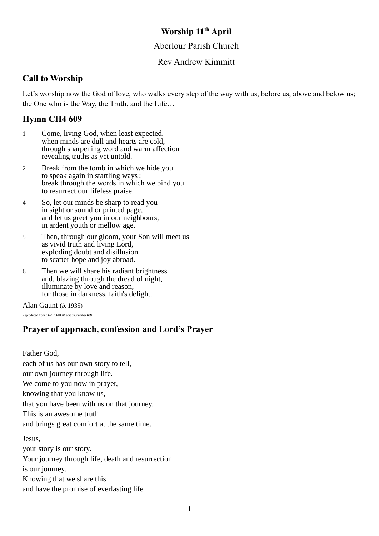## **Worship 11th April**

## Aberlour Parish Church

## Rev Andrew Kimmitt

## **Call to Worship**

Let's worship now the God of love, who walks every step of the way with us, before us, above and below us; the One who is the Way, the Truth, and the Life…

## **Hymn CH4 609**

- 1 Come, living God, when least expected, when minds are dull and hearts are cold, through sharpening word and warm affection revealing truths as yet untold.
- 2 Break from the tomb in which we hide you to speak again in startling ways ; break through the words in which we bind you to resurrect our lifeless praise.
- 4 So, let our minds be sharp to read you in sight or sound or printed page, and let us greet you in our neighbours, in ardent youth or mellow age.
- 5 Then, through our gloom, your Son will meet us as vivid truth and living Lord, exploding doubt and disillusion to scatter hope and joy abroad.
- 6 Then we will share his radiant brightness and, blazing through the dread of night, illuminate by love and reason, for those in darkness, faith's delight.

Alan Gaunt (*b.* 1935)

Reproduced from *CH4* CD-ROM edition, number **609**

## **Prayer of approach, confession and Lord's Prayer**

Father God, each of us has our own story to tell, our own journey through life. We come to you now in prayer, knowing that you know us, that you have been with us on that journey. This is an awesome truth and brings great comfort at the same time. Jesus, your story is our story. Your journey through life, death and resurrection is our journey.

Knowing that we share this

and have the promise of everlasting life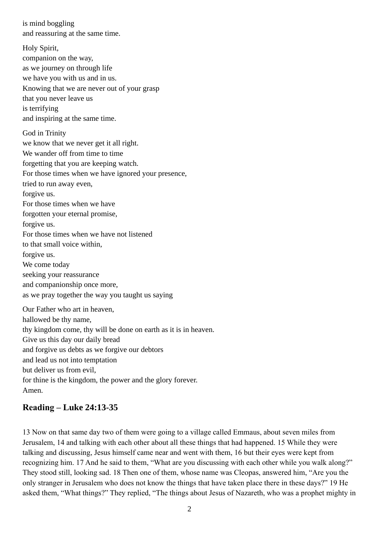is mind boggling and reassuring at the same time.

Holy Spirit, companion on the way, as we journey on through life we have you with us and in us. Knowing that we are never out of your grasp that you never leave us is terrifying and inspiring at the same time. God in Trinity we know that we never get it all right. We wander off from time to time forgetting that you are keeping watch. For those times when we have ignored your presence, tried to run away even, forgive us. For those times when we have forgotten your eternal promise, forgive us. For those times when we have not listened to that small voice within, forgive us. We come today seeking your reassurance and companionship once more, as we pray together the way you taught us saying Our Father who art in heaven, hallowed be thy name, thy kingdom come, thy will be done on earth as it is in heaven. Give us this day our daily bread and forgive us debts as we forgive our debtors and lead us not into temptation

but deliver us from evil,

for thine is the kingdom, the power and the glory forever. Amen.

## **Reading – Luke 24:13-35**

13 Now on that same day two of them were going to a village called Emmaus, about seven miles from Jerusalem, 14 and talking with each other about all these things that had happened. 15 While they were talking and discussing, Jesus himself came near and went with them, 16 but their eyes were kept from recognizing him. 17 And he said to them, "What are you discussing with each other while you walk along?" They stood still, looking sad. 18 Then one of them, whose name was Cleopas, answered him, "Are you the only stranger in Jerusalem who does not know the things that have taken place there in these days?" 19 He asked them, "What things?" They replied, "The things about Jesus of Nazareth, who was a prophet mighty in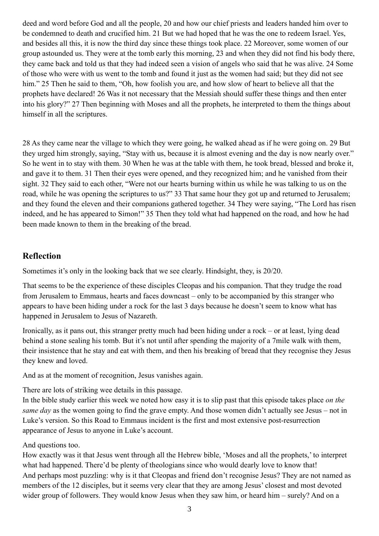deed and word before God and all the people, 20 and how our chief priests and leaders handed him over to be condemned to death and crucified him. 21 But we had hoped that he was the one to redeem Israel. Yes, and besides all this, it is now the third day since these things took place. 22 Moreover, some women of our group astounded us. They were at the tomb early this morning, 23 and when they did not find his body there, they came back and told us that they had indeed seen a vision of angels who said that he was alive. 24 Some of those who were with us went to the tomb and found it just as the women had said; but they did not see him." 25 Then he said to them, "Oh, how foolish you are, and how slow of heart to believe all that the prophets have declared! 26 Was it not necessary that the Messiah should suffer these things and then enter into his glory?" 27 Then beginning with Moses and all the prophets, he interpreted to them the things about himself in all the scriptures.

28 As they came near the village to which they were going, he walked ahead as if he were going on. 29 But they urged him strongly, saying, "Stay with us, because it is almost evening and the day is now nearly over." So he went in to stay with them. 30 When he was at the table with them, he took bread, blessed and broke it, and gave it to them. 31 Then their eyes were opened, and they recognized him; and he vanished from their sight. 32 They said to each other, "Were not our hearts burning within us while he was talking to us on the road, while he was opening the scriptures to us?" 33 That same hour they got up and returned to Jerusalem; and they found the eleven and their companions gathered together. 34 They were saying, "The Lord has risen indeed, and he has appeared to Simon!" 35 Then they told what had happened on the road, and how he had been made known to them in the breaking of the bread.

## **Reflection**

Sometimes it's only in the looking back that we see clearly. Hindsight, they, is 20/20.

That seems to be the experience of these disciples Cleopas and his companion. That they trudge the road from Jerusalem to Emmaus, hearts and faces downcast – only to be accompanied by this stranger who appears to have been hiding under a rock for the last 3 days because he doesn't seem to know what has happened in Jerusalem to Jesus of Nazareth.

Ironically, as it pans out, this stranger pretty much had been hiding under a rock – or at least, lying dead behind a stone sealing his tomb. But it's not until after spending the majority of a 7mile walk with them, their insistence that he stay and eat with them, and then his breaking of bread that they recognise they Jesus they knew and loved.

And as at the moment of recognition, Jesus vanishes again.

There are lots of striking wee details in this passage.

In the bible study earlier this week we noted how easy it is to slip past that this episode takes place *on the same day* as the women going to find the grave empty. And those women didn't actually see Jesus – not in Luke's version. So this Road to Emmaus incident is the first and most extensive post-resurrection appearance of Jesus to anyone in Luke's account.

### And questions too.

How exactly was it that Jesus went through all the Hebrew bible, 'Moses and all the prophets,' to interpret what had happened. There'd be plenty of theologians since who would dearly love to know that! And perhaps most puzzling: why is it that Cleopas and friend don't recognise Jesus? They are not named as members of the 12 disciples, but it seems very clear that they are among Jesus' closest and most devoted wider group of followers. They would know Jesus when they saw him, or heard him – surely? And on a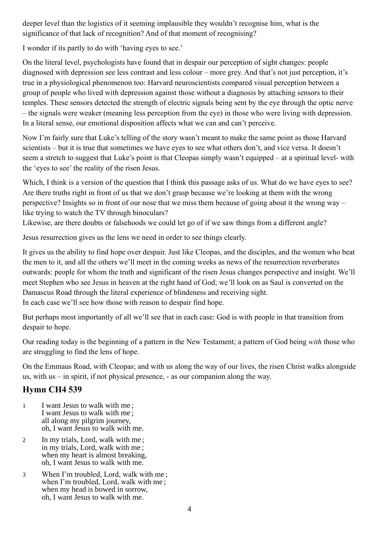deeper level than the logistics of it seeming implausible they wouldn't recognise him, what is the significance of that lack of recognition? And of that moment of recognising?

I wonder if its partly to do with 'having eyes to see.'

On the literal level, psychologists have found that in despair our perception of sight changes: people diagnosed with depression see less contrast and less colour – more grey. And that's not just perception, it's true in a physiological phenomenon too: Harvard neuroscientists compared visual perception between a group of people who lived with depression against those without a diagnosis by attaching sensors to their temples. These sensors detected the strength of electric signals being sent by the eye through the optic nerve – the signals were weaker (meaning less perception from the eye) in those who were living with depression. In a literal sense, our emotional disposition affects what we can and can't perceive.

Now I'm fairly sure that Luke's telling of the story wasn't meant to make the same point as those Harvard scientists – but it is true that sometimes we have eyes to see what others don't, and vice versa. It doesn't seem a stretch to suggest that Luke's point is that Cleopas simply wasn't equipped – at a spiritual level- with the 'eyes to see' the reality of the risen Jesus.

Which, I think is a version of the question that I think this passage asks of us. What do we have eyes to see? Are there truths right in front of us that we don't grasp because we're looking at them with the wrong perspective? Insights so in front of our nose that we miss them because of going about it the wrong way – like trying to watch the TV through binoculars?

Likewise, are there doubts or falsehoods we could let go of if we saw things from a different angle?

Jesus resurrection gives us the lens we need in order to see things clearly.

It gives us the ability to find hope over despair. Just like Cleopas, and the disciples, and the women who beat the men to it, and all the others we'll meet in the coming weeks as news of the resurrection reverberates outwards: people for whom the truth and significant of the risen Jesus changes perspective and insight. We'll meet Stephen who see Jesus in heaven at the right hand of God; we'll look on as Saul is converted on the Damascus Road through the literal experience of blindeness and receiving sight. In each case we'll see how those with reason to despair find hope.

But perhaps most importantly of all we'll see that in each case: God is with people in that transition from despair to hope.

Our reading today is the beginning of a pattern in the New Testament; a pattern of God being *with* those who are struggling to find the lens of hope.

On the Emmaus Road, with Cleopas; and with us along the way of our lives, the risen Christ walks alongside us, with us – in spirit, if not physical presence, - as our companion along the way.

## **Hymn CH4 539**

- 1 I want Jesus to walk with me ; I want Jesus to walk with me ; all along my pilgrim journey, oh, I want Jesus to walk with me.
- 2 In my trials, Lord, walk with me; in my trials, Lord, walk with me ; when my heart is almost breaking, oh, I want Jesus to walk with me.
- 3 When I'm troubled, Lord, walk with me ; when I'm troubled, Lord, walk with me ; when my head is bowed in sorrow, oh, I want Jesus to walk with me.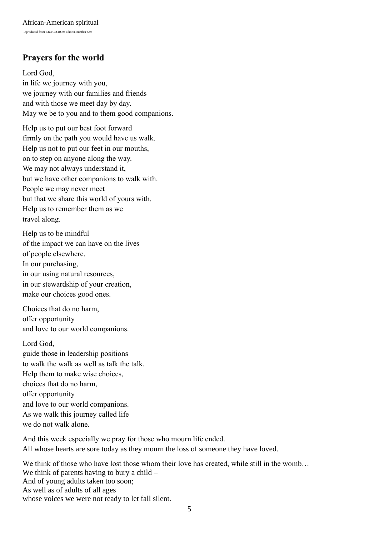# **Prayers for the world**

Lord God, in life we journey with you, we journey with our families and friends and with those we meet day by day. May we be to you and to them good companions.

Help us to put our best foot forward firmly on the path you would have us walk. Help us not to put our feet in our mouths, on to step on anyone along the way. We may not always understand it, but we have other companions to walk with. People we may never meet but that we share this world of yours with. Help us to remember them as we travel along.

Help us to be mindful of the impact we can have on the lives of people elsewhere. In our purchasing, in our using natural resources, in our stewardship of your creation, make our choices good ones.

Choices that do no harm, offer opportunity and love to our world companions.

#### Lord God,

guide those in leadership positions to walk the walk as well as talk the talk. Help them to make wise choices, choices that do no harm, offer opportunity and love to our world companions. As we walk this journey called life we do not walk alone.

And this week especially we pray for those who mourn life ended. All whose hearts are sore today as they mourn the loss of someone they have loved.

We think of those who have lost those whom their love has created, while still in the womb... We think of parents having to bury a child – And of young adults taken too soon; As well as of adults of all ages whose voices we were not ready to let fall silent.